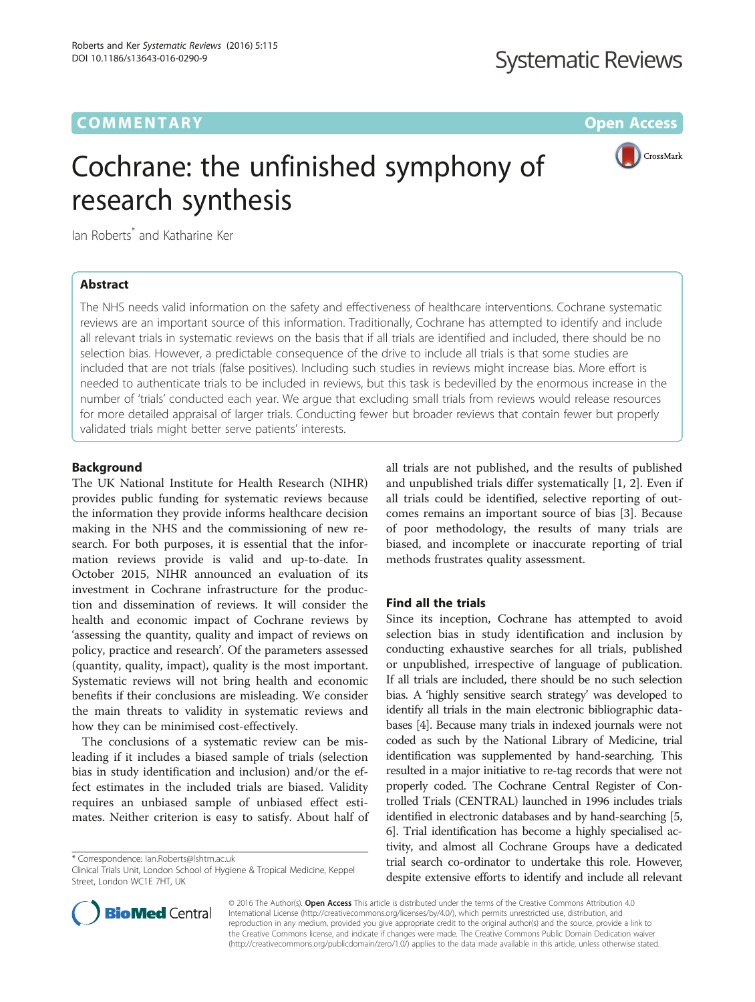# **COMMENTARY COMMENTARY COMMENTARY**

CrossMark

# Cochrane: the unfinished symphony of research synthesis

Ian Roberts<sup>\*</sup> and Katharine Ker

# Abstract

The NHS needs valid information on the safety and effectiveness of healthcare interventions. Cochrane systematic reviews are an important source of this information. Traditionally, Cochrane has attempted to identify and include all relevant trials in systematic reviews on the basis that if all trials are identified and included, there should be no selection bias. However, a predictable consequence of the drive to include all trials is that some studies are included that are not trials (false positives). Including such studies in reviews might increase bias. More effort is needed to authenticate trials to be included in reviews, but this task is bedevilled by the enormous increase in the number of 'trials' conducted each year. We argue that excluding small trials from reviews would release resources for more detailed appraisal of larger trials. Conducting fewer but broader reviews that contain fewer but properly validated trials might better serve patients' interests.

# Background

The UK National Institute for Health Research (NIHR) provides public funding for systematic reviews because the information they provide informs healthcare decision making in the NHS and the commissioning of new research. For both purposes, it is essential that the information reviews provide is valid and up-to-date. In October 2015, NIHR announced an evaluation of its investment in Cochrane infrastructure for the production and dissemination of reviews. It will consider the health and economic impact of Cochrane reviews by 'assessing the quantity, quality and impact of reviews on policy, practice and research'. Of the parameters assessed (quantity, quality, impact), quality is the most important. Systematic reviews will not bring health and economic benefits if their conclusions are misleading. We consider the main threats to validity in systematic reviews and how they can be minimised cost-effectively.

The conclusions of a systematic review can be misleading if it includes a biased sample of trials (selection bias in study identification and inclusion) and/or the effect estimates in the included trials are biased. Validity requires an unbiased sample of unbiased effect estimates. Neither criterion is easy to satisfy. About half of

\* Correspondence: [Ian.Roberts@lshtm.ac.uk](mailto:Ian.Roberts@lshtm.ac.uk)

all trials are not published, and the results of published and unpublished trials differ systematically [[1, 2\]](#page-4-0). Even if all trials could be identified, selective reporting of outcomes remains an important source of bias [\[3](#page-4-0)]. Because of poor methodology, the results of many trials are biased, and incomplete or inaccurate reporting of trial methods frustrates quality assessment.

# Find all the trials

Since its inception, Cochrane has attempted to avoid selection bias in study identification and inclusion by conducting exhaustive searches for all trials, published or unpublished, irrespective of language of publication. If all trials are included, there should be no such selection bias. A 'highly sensitive search strategy' was developed to identify all trials in the main electronic bibliographic databases [\[4](#page-4-0)]. Because many trials in indexed journals were not coded as such by the National Library of Medicine, trial identification was supplemented by hand-searching. This resulted in a major initiative to re-tag records that were not properly coded. The Cochrane Central Register of Controlled Trials (CENTRAL) launched in 1996 includes trials identified in electronic databases and by hand-searching [[5](#page-4-0), [6](#page-4-0)]. Trial identification has become a highly specialised activity, and almost all Cochrane Groups have a dedicated trial search co-ordinator to undertake this role. However, despite extensive efforts to identify and include all relevant



© 2016 The Author(s). Open Access This article is distributed under the terms of the Creative Commons Attribution 4.0 International License [\(http://creativecommons.org/licenses/by/4.0/](http://creativecommons.org/licenses/by/4.0/)), which permits unrestricted use, distribution, and reproduction in any medium, provided you give appropriate credit to the original author(s) and the source, provide a link to the Creative Commons license, and indicate if changes were made. The Creative Commons Public Domain Dedication waiver [\(http://creativecommons.org/publicdomain/zero/1.0/](http://creativecommons.org/publicdomain/zero/1.0/)) applies to the data made available in this article, unless otherwise stated.

Clinical Trials Unit, London School of Hygiene & Tropical Medicine, Keppel Street, London WC1E 7HT, UK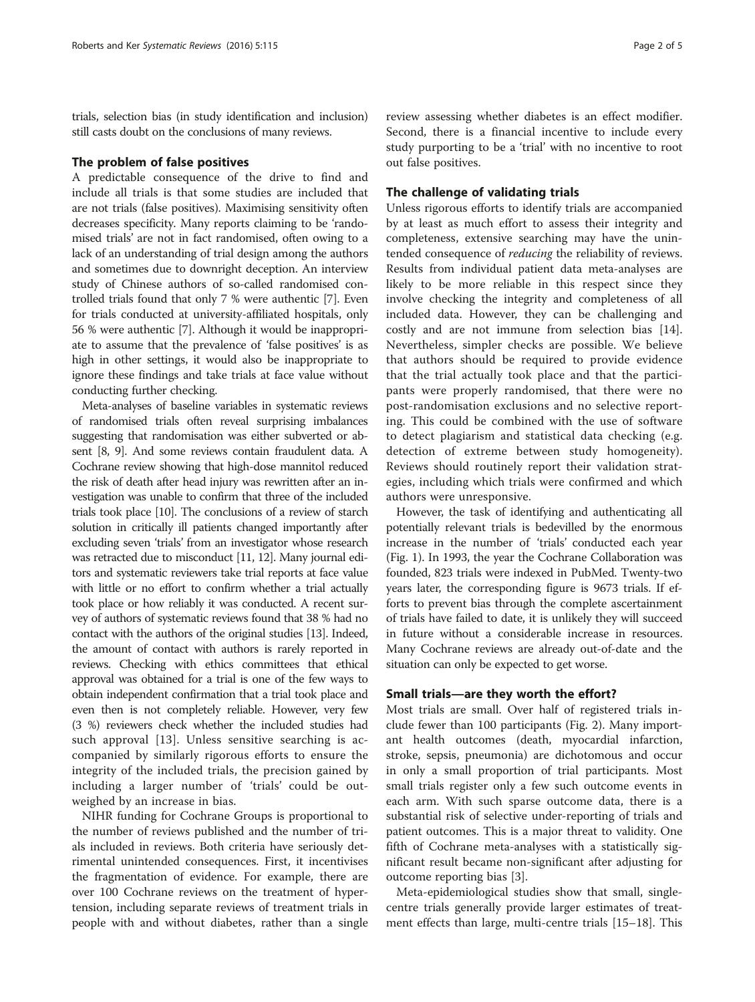trials, selection bias (in study identification and inclusion) still casts doubt on the conclusions of many reviews.

## The problem of false positives

A predictable consequence of the drive to find and include all trials is that some studies are included that are not trials (false positives). Maximising sensitivity often decreases specificity. Many reports claiming to be 'randomised trials' are not in fact randomised, often owing to a lack of an understanding of trial design among the authors and sometimes due to downright deception. An interview study of Chinese authors of so-called randomised controlled trials found that only 7 % were authentic [\[7\]](#page-4-0). Even for trials conducted at university-affiliated hospitals, only 56 % were authentic [[7\]](#page-4-0). Although it would be inappropriate to assume that the prevalence of 'false positives' is as high in other settings, it would also be inappropriate to ignore these findings and take trials at face value without conducting further checking.

Meta-analyses of baseline variables in systematic reviews of randomised trials often reveal surprising imbalances suggesting that randomisation was either subverted or absent [[8](#page-4-0), [9](#page-4-0)]. And some reviews contain fraudulent data. A Cochrane review showing that high-dose mannitol reduced the risk of death after head injury was rewritten after an investigation was unable to confirm that three of the included trials took place [\[10\]](#page-4-0). The conclusions of a review of starch solution in critically ill patients changed importantly after excluding seven 'trials' from an investigator whose research was retracted due to misconduct [\[11, 12\]](#page-4-0). Many journal editors and systematic reviewers take trial reports at face value with little or no effort to confirm whether a trial actually took place or how reliably it was conducted. A recent survey of authors of systematic reviews found that 38 % had no contact with the authors of the original studies [[13](#page-4-0)]. Indeed, the amount of contact with authors is rarely reported in reviews. Checking with ethics committees that ethical approval was obtained for a trial is one of the few ways to obtain independent confirmation that a trial took place and even then is not completely reliable. However, very few (3 %) reviewers check whether the included studies had such approval [[13](#page-4-0)]. Unless sensitive searching is accompanied by similarly rigorous efforts to ensure the integrity of the included trials, the precision gained by including a larger number of 'trials' could be outweighed by an increase in bias.

NIHR funding for Cochrane Groups is proportional to the number of reviews published and the number of trials included in reviews. Both criteria have seriously detrimental unintended consequences. First, it incentivises the fragmentation of evidence. For example, there are over 100 Cochrane reviews on the treatment of hypertension, including separate reviews of treatment trials in people with and without diabetes, rather than a single review assessing whether diabetes is an effect modifier. Second, there is a financial incentive to include every study purporting to be a 'trial' with no incentive to root out false positives.

# The challenge of validating trials

Unless rigorous efforts to identify trials are accompanied by at least as much effort to assess their integrity and completeness, extensive searching may have the unintended consequence of reducing the reliability of reviews. Results from individual patient data meta-analyses are likely to be more reliable in this respect since they involve checking the integrity and completeness of all included data. However, they can be challenging and costly and are not immune from selection bias [\[14](#page-4-0)]. Nevertheless, simpler checks are possible. We believe that authors should be required to provide evidence that the trial actually took place and that the participants were properly randomised, that there were no post-randomisation exclusions and no selective reporting. This could be combined with the use of software to detect plagiarism and statistical data checking (e.g. detection of extreme between study homogeneity). Reviews should routinely report their validation strategies, including which trials were confirmed and which authors were unresponsive.

However, the task of identifying and authenticating all potentially relevant trials is bedevilled by the enormous increase in the number of 'trials' conducted each year (Fig. [1\)](#page-2-0). In 1993, the year the Cochrane Collaboration was founded, 823 trials were indexed in PubMed. Twenty-two years later, the corresponding figure is 9673 trials. If efforts to prevent bias through the complete ascertainment of trials have failed to date, it is unlikely they will succeed in future without a considerable increase in resources. Many Cochrane reviews are already out-of-date and the situation can only be expected to get worse.

## Small trials—are they worth the effort?

Most trials are small. Over half of registered trials include fewer than 100 participants (Fig. [2](#page-2-0)). Many important health outcomes (death, myocardial infarction, stroke, sepsis, pneumonia) are dichotomous and occur in only a small proportion of trial participants. Most small trials register only a few such outcome events in each arm. With such sparse outcome data, there is a substantial risk of selective under-reporting of trials and patient outcomes. This is a major threat to validity. One fifth of Cochrane meta-analyses with a statistically significant result became non-significant after adjusting for outcome reporting bias [\[3](#page-4-0)].

Meta-epidemiological studies show that small, singlecentre trials generally provide larger estimates of treatment effects than large, multi-centre trials [\[15](#page-4-0)–[18\]](#page-4-0). This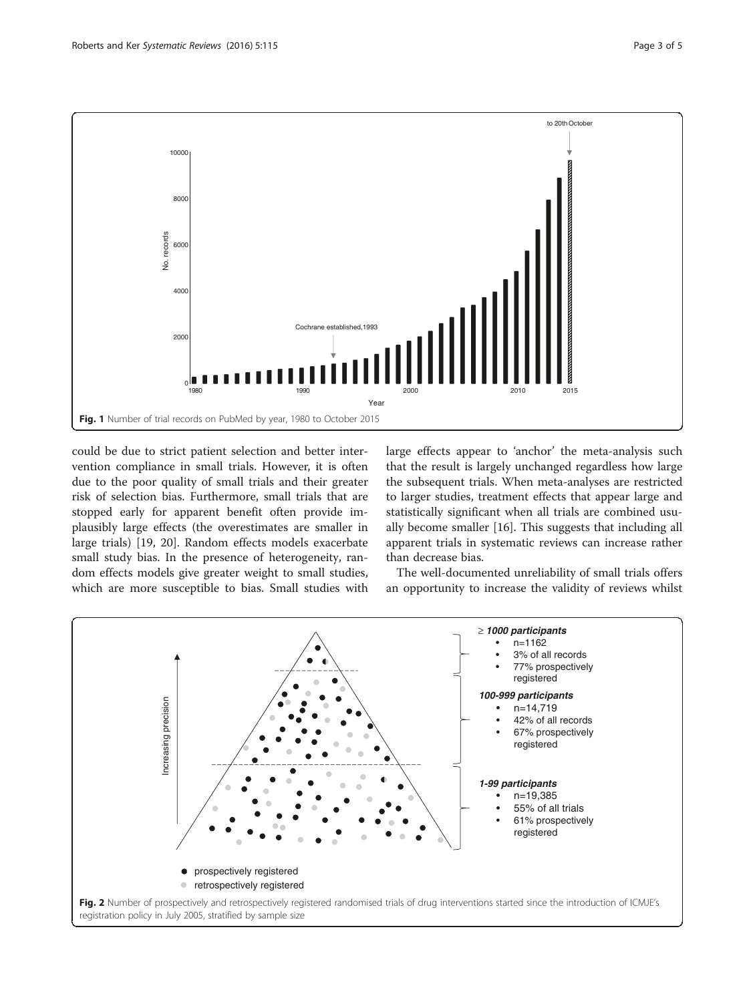<span id="page-2-0"></span>

could be due to strict patient selection and better intervention compliance in small trials. However, it is often due to the poor quality of small trials and their greater risk of selection bias. Furthermore, small trials that are stopped early for apparent benefit often provide implausibly large effects (the overestimates are smaller in large trials) [[19, 20\]](#page-4-0). Random effects models exacerbate small study bias. In the presence of heterogeneity, random effects models give greater weight to small studies, which are more susceptible to bias. Small studies with

large effects appear to 'anchor' the meta-analysis such that the result is largely unchanged regardless how large the subsequent trials. When meta-analyses are restricted to larger studies, treatment effects that appear large and statistically significant when all trials are combined usually become smaller [\[16](#page-4-0)]. This suggests that including all apparent trials in systematic reviews can increase rather than decrease bias.

The well-documented unreliability of small trials offers an opportunity to increase the validity of reviews whilst

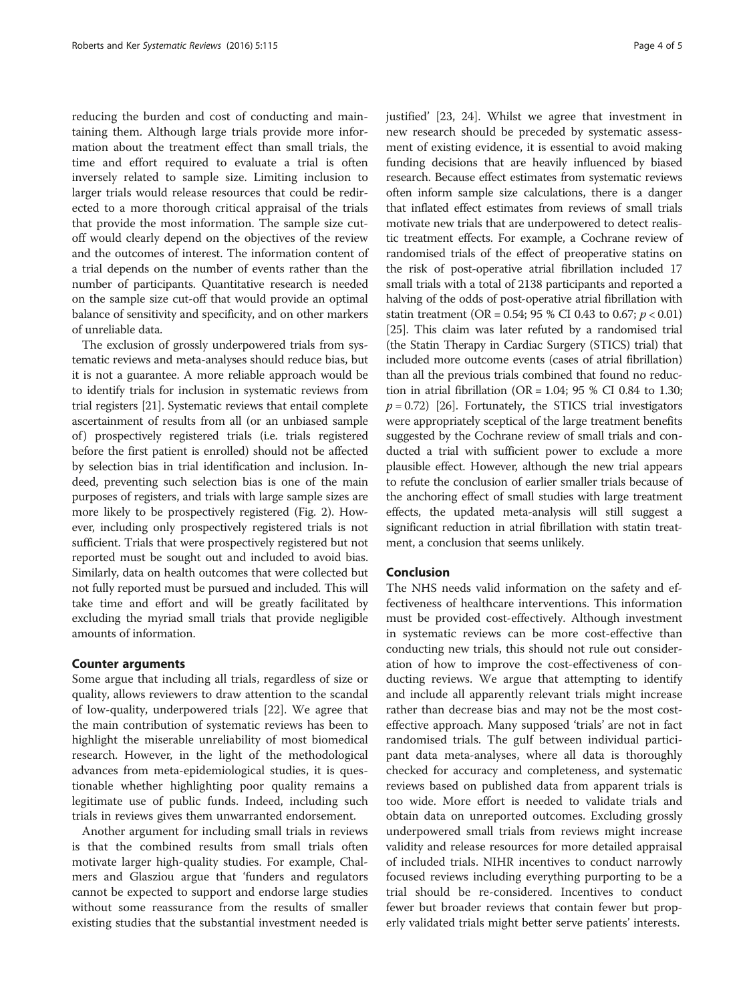reducing the burden and cost of conducting and maintaining them. Although large trials provide more information about the treatment effect than small trials, the time and effort required to evaluate a trial is often inversely related to sample size. Limiting inclusion to larger trials would release resources that could be redirected to a more thorough critical appraisal of the trials that provide the most information. The sample size cutoff would clearly depend on the objectives of the review and the outcomes of interest. The information content of a trial depends on the number of events rather than the number of participants. Quantitative research is needed on the sample size cut-off that would provide an optimal balance of sensitivity and specificity, and on other markers of unreliable data.

The exclusion of grossly underpowered trials from systematic reviews and meta-analyses should reduce bias, but it is not a guarantee. A more reliable approach would be to identify trials for inclusion in systematic reviews from trial registers [[21](#page-4-0)]. Systematic reviews that entail complete ascertainment of results from all (or an unbiased sample of) prospectively registered trials (i.e. trials registered before the first patient is enrolled) should not be affected by selection bias in trial identification and inclusion. Indeed, preventing such selection bias is one of the main purposes of registers, and trials with large sample sizes are more likely to be prospectively registered (Fig. [2](#page-2-0)). However, including only prospectively registered trials is not sufficient. Trials that were prospectively registered but not reported must be sought out and included to avoid bias. Similarly, data on health outcomes that were collected but not fully reported must be pursued and included. This will take time and effort and will be greatly facilitated by excluding the myriad small trials that provide negligible amounts of information.

# Counter arguments

Some argue that including all trials, regardless of size or quality, allows reviewers to draw attention to the scandal of low-quality, underpowered trials [\[22\]](#page-4-0). We agree that the main contribution of systematic reviews has been to highlight the miserable unreliability of most biomedical research. However, in the light of the methodological advances from meta-epidemiological studies, it is questionable whether highlighting poor quality remains a legitimate use of public funds. Indeed, including such trials in reviews gives them unwarranted endorsement.

Another argument for including small trials in reviews is that the combined results from small trials often motivate larger high-quality studies. For example, Chalmers and Glasziou argue that 'funders and regulators cannot be expected to support and endorse large studies without some reassurance from the results of smaller existing studies that the substantial investment needed is justified' [\[23, 24\]](#page-4-0). Whilst we agree that investment in new research should be preceded by systematic assessment of existing evidence, it is essential to avoid making funding decisions that are heavily influenced by biased research. Because effect estimates from systematic reviews often inform sample size calculations, there is a danger that inflated effect estimates from reviews of small trials motivate new trials that are underpowered to detect realistic treatment effects. For example, a Cochrane review of randomised trials of the effect of preoperative statins on the risk of post-operative atrial fibrillation included 17 small trials with a total of 2138 participants and reported a halving of the odds of post-operative atrial fibrillation with statin treatment (OR = 0.54; 95 % CI 0.43 to 0.67;  $p < 0.01$ ) [[25](#page-4-0)]. This claim was later refuted by a randomised trial (the Statin Therapy in Cardiac Surgery (STICS) trial) that included more outcome events (cases of atrial fibrillation) than all the previous trials combined that found no reduction in atrial fibrillation (OR =  $1.04$ ; 95 % CI 0.84 to 1.30;  $p = 0.72$ ) [[26](#page-4-0)]. Fortunately, the STICS trial investigators were appropriately sceptical of the large treatment benefits suggested by the Cochrane review of small trials and conducted a trial with sufficient power to exclude a more plausible effect. However, although the new trial appears to refute the conclusion of earlier smaller trials because of the anchoring effect of small studies with large treatment effects, the updated meta-analysis will still suggest a significant reduction in atrial fibrillation with statin treatment, a conclusion that seems unlikely.

# Conclusion

The NHS needs valid information on the safety and effectiveness of healthcare interventions. This information must be provided cost-effectively. Although investment in systematic reviews can be more cost-effective than conducting new trials, this should not rule out consideration of how to improve the cost-effectiveness of conducting reviews. We argue that attempting to identify and include all apparently relevant trials might increase rather than decrease bias and may not be the most costeffective approach. Many supposed 'trials' are not in fact randomised trials. The gulf between individual participant data meta-analyses, where all data is thoroughly checked for accuracy and completeness, and systematic reviews based on published data from apparent trials is too wide. More effort is needed to validate trials and obtain data on unreported outcomes. Excluding grossly underpowered small trials from reviews might increase validity and release resources for more detailed appraisal of included trials. NIHR incentives to conduct narrowly focused reviews including everything purporting to be a trial should be re-considered. Incentives to conduct fewer but broader reviews that contain fewer but properly validated trials might better serve patients' interests.